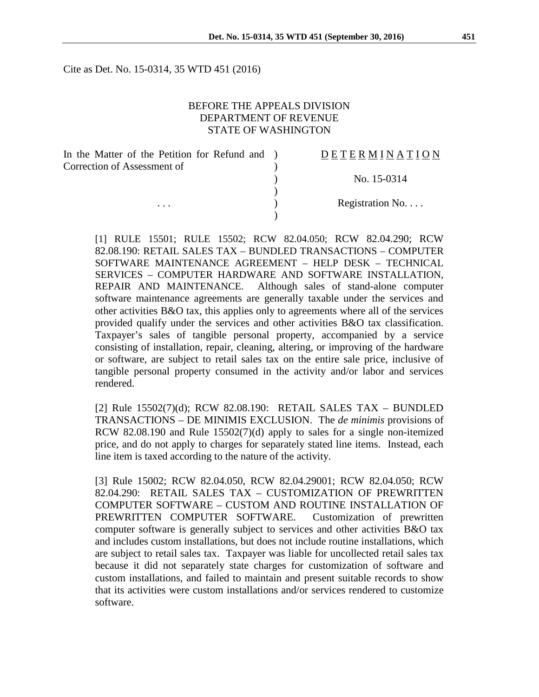Cite as Det. No. 15-0314, 35 WTD 451 (2016)

### BEFORE THE APPEALS DIVISION DEPARTMENT OF REVENUE STATE OF WASHINGTON

| In the Matter of the Petition for Refund and | DETERMINATION    |
|----------------------------------------------|------------------|
| Correction of Assessment of                  |                  |
|                                              | No. 15-0314      |
|                                              |                  |
| .                                            | Registration No. |
|                                              |                  |
|                                              |                  |

[1] RULE 15501; RULE 15502; RCW 82.04.050; RCW 82.04.290; RCW 82.08.190: RETAIL SALES TAX – BUNDLED TRANSACTIONS – COMPUTER SOFTWARE MAINTENANCE AGREEMENT – HELP DESK – TECHNICAL SERVICES – COMPUTER HARDWARE AND SOFTWARE INSTALLATION, REPAIR AND MAINTENANCE. Although sales of stand-alone computer software maintenance agreements are generally taxable under the services and other activities B&O tax, this applies only to agreements where all of the services provided qualify under the services and other activities B&O tax classification. Taxpayer's sales of tangible personal property, accompanied by a service consisting of installation, repair, cleaning, altering, or improving of the hardware or software, are subject to retail sales tax on the entire sale price, inclusive of tangible personal property consumed in the activity and/or labor and services rendered.

[2] Rule 15502(7)(d); RCW 82.08.190: RETAIL SALES TAX – BUNDLED TRANSACTIONS – DE MINIMIS EXCLUSION. The *de minimis* provisions of RCW 82.08.190 and Rule 15502(7)(d) apply to sales for a single non-itemized price, and do not apply to charges for separately stated line items. Instead, each line item is taxed according to the nature of the activity.

[3] Rule 15002; RCW 82.04.050, RCW 82.04.29001; RCW 82.04.050; RCW 82.04.290: RETAIL SALES TAX – CUSTOMIZATION OF PREWRITTEN COMPUTER SOFTWARE – CUSTOM AND ROUTINE INSTALLATION OF PREWRITTEN COMPUTER SOFTWARE. Customization of prewritten computer software is generally subject to services and other activities B&O tax and includes custom installations, but does not include routine installations, which are subject to retail sales tax. Taxpayer was liable for uncollected retail sales tax because it did not separately state charges for customization of software and custom installations, and failed to maintain and present suitable records to show that its activities were custom installations and/or services rendered to customize software.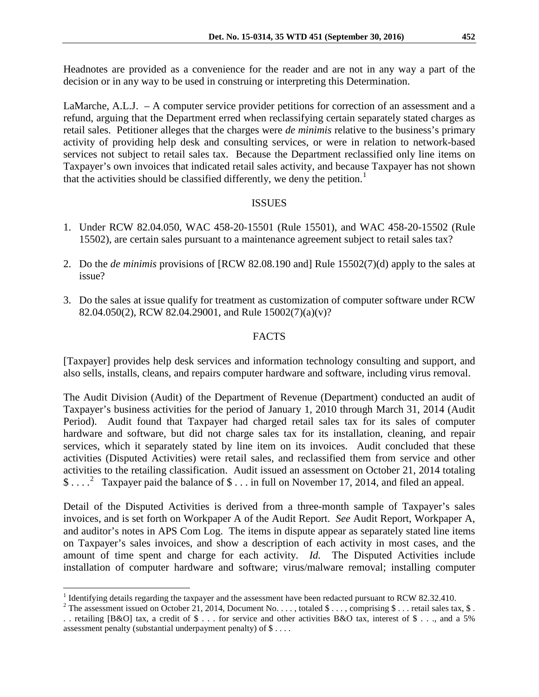Headnotes are provided as a convenience for the reader and are not in any way a part of the decision or in any way to be used in construing or interpreting this Determination.

LaMarche, A.L.J. – A computer service provider petitions for correction of an assessment and a refund, arguing that the Department erred when reclassifying certain separately stated charges as retail sales. Petitioner alleges that the charges were *de minimis* relative to the business's primary activity of providing help desk and consulting services, or were in relation to network-based services not subject to retail sales tax. Because the Department reclassified only line items on Taxpayer's own invoices that indicated retail sales activity, and because Taxpayer has not shown that the activities should be classified differently, we deny the petition.<sup>[1](#page-1-0)</sup>

## ISSUES

- 1. Under RCW 82.04.050, WAC 458-20-15501 (Rule 15501), and WAC 458-20-15502 (Rule 15502), are certain sales pursuant to a maintenance agreement subject to retail sales tax?
- 2. Do the *de minimis* provisions of [RCW 82.08.190 and] Rule 15502(7)(d) apply to the sales at issue?
- 3. Do the sales at issue qualify for treatment as customization of computer software under RCW 82.04.050(2), RCW 82.04.29001, and Rule 15002(7)(a)(v)?

# FACTS

[Taxpayer] provides help desk services and information technology consulting and support, and also sells, installs, cleans, and repairs computer hardware and software, including virus removal.

The Audit Division (Audit) of the Department of Revenue (Department) conducted an audit of Taxpayer's business activities for the period of January 1, 2010 through March 31, 2014 (Audit Period). Audit found that Taxpayer had charged retail sales tax for its sales of computer hardware and software, but did not charge sales tax for its installation, cleaning, and repair services, which it separately stated by line item on its invoices. Audit concluded that these activities (Disputed Activities) were retail sales, and reclassified them from service and other activities to the retailing classification. Audit issued an assessment on October 21, 2014 totaling \$....<sup>[2](#page-1-1)</sup> Taxpayer paid the balance of \$... in full on November 17, 2014, and filed an appeal.

Detail of the Disputed Activities is derived from a three-month sample of Taxpayer's sales invoices, and is set forth on Workpaper A of the Audit Report. *See* Audit Report, Workpaper A, and auditor's notes in APS Com Log. The items in dispute appear as separately stated line items on Taxpayer's sales invoices, and show a description of each activity in most cases, and the amount of time spent and charge for each activity. *Id.* The Disputed Activities include installation of computer hardware and software; virus/malware removal; installing computer

<sup>&</sup>lt;sup>1</sup> Identifying details regarding the taxpayer and the assessment have been redacted pursuant to RCW 82.32.410.

<span id="page-1-1"></span><span id="page-1-0"></span><sup>&</sup>lt;sup>2</sup> The assessment issued on October 21, 2014, Document No. . . . , totaled \$ . . . , comprising \$ . . . retail sales tax, \$ . . . retailing [B&O] tax, a credit of \$ . . . for service and other activities B&O tax, interest of \$ . . ., and a 5% assessment penalty (substantial underpayment penalty) of \$ . . . .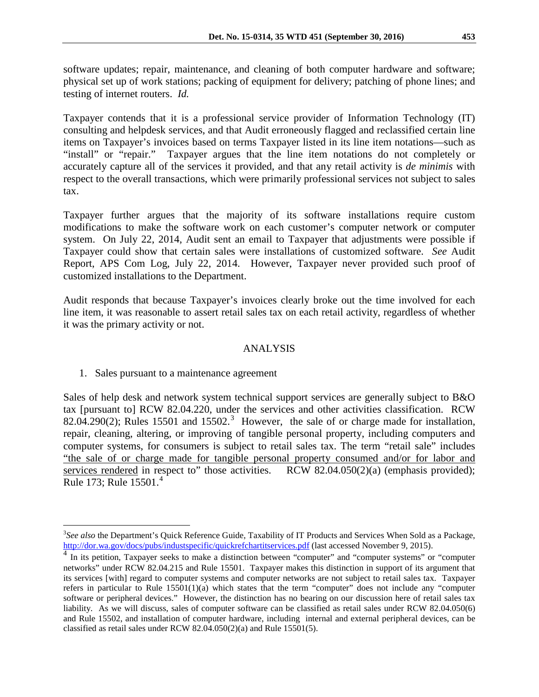software updates; repair, maintenance, and cleaning of both computer hardware and software; physical set up of work stations; packing of equipment for delivery; patching of phone lines; and testing of internet routers. *Id.*

Taxpayer contends that it is a professional service provider of Information Technology (IT) consulting and helpdesk services, and that Audit erroneously flagged and reclassified certain line items on Taxpayer's invoices based on terms Taxpayer listed in its line item notations—such as "install" or "repair." Taxpayer argues that the line item notations do not completely or accurately capture all of the services it provided, and that any retail activity is *de minimis* with respect to the overall transactions, which were primarily professional services not subject to sales tax.

Taxpayer further argues that the majority of its software installations require custom modifications to make the software work on each customer's computer network or computer system. On July 22, 2014, Audit sent an email to Taxpayer that adjustments were possible if Taxpayer could show that certain sales were installations of customized software. *See* Audit Report, APS Com Log, July 22, 2014. However, Taxpayer never provided such proof of customized installations to the Department.

Audit responds that because Taxpayer's invoices clearly broke out the time involved for each line item, it was reasonable to assert retail sales tax on each retail activity, regardless of whether it was the primary activity or not.

#### ANALYSIS

1. Sales pursuant to a maintenance agreement

Sales of help desk and network system technical support services are generally subject to B&O tax [pursuant to] RCW 82.04.220, under the services and other activities classification. RCW 82.04.290(2); Rules 15501 and 15502.<sup>[3](#page-2-0)</sup> However, the sale of or charge made for installation, repair, cleaning, altering, or improving of tangible personal property, including computers and computer systems, for consumers is subject to retail sales tax. The term "retail sale" includes "the sale of or charge made for tangible personal property consumed and/or for labor and services rendered in respect to" those activities. RCW 82.04.050(2)(a) (emphasis provided); Rule 173; Rule 15501.<sup>[4](#page-2-1)</sup>

<span id="page-2-0"></span><sup>&</sup>lt;sup>2</sup><br>3 *See also* the Department's Quick Reference Guide, Taxability of IT Products and Services When Sold as a Package, <http://dor.wa.gov/docs/pubs/industspecific/quickrefchartitservices.pdf> (last accessed November 9, 2015).

<span id="page-2-1"></span>In its petition, Taxpayer seeks to make a distinction between "computer" and "computer systems" or "computer networks" under RCW 82.04.215 and Rule 15501. Taxpayer makes this distinction in support of its argument that its services [with] regard to computer systems and computer networks are not subject to retail sales tax. Taxpayer refers in particular to Rule 15501(1)(a) which states that the term "computer" does not include any "computer software or peripheral devices." However, the distinction has no bearing on our discussion here of retail sales tax liability. As we will discuss, sales of computer software can be classified as retail sales under RCW 82.04.050(6) and Rule 15502, and installation of computer hardware, including internal and external peripheral devices, can be classified as retail sales under RCW 82.04.050(2)(a) and Rule 15501(5).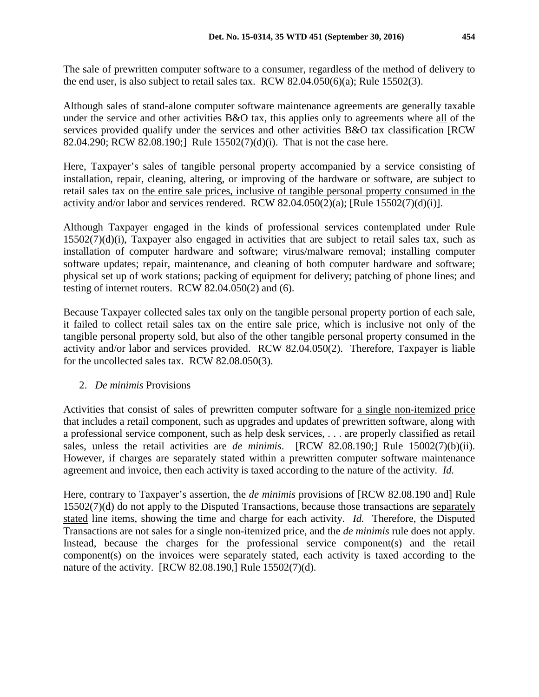The sale of prewritten computer software to a consumer, regardless of the method of delivery to the end user, is also subject to retail sales tax. RCW 82.04.050(6)(a); Rule 15502(3).

Although sales of stand-alone computer software maintenance agreements are generally taxable under the service and other activities B&O tax, this applies only to agreements where all of the services provided qualify under the services and other activities B&O tax classification [RCW 82.04.290; RCW 82.08.190;] Rule 15502(7)(d)(i). That is not the case here.

Here, Taxpayer's sales of tangible personal property accompanied by a service consisting of installation, repair, cleaning, altering, or improving of the hardware or software, are subject to retail sales tax on the entire sale prices, inclusive of tangible personal property consumed in the activity and/or labor and services rendered. RCW 82.04.050(2)(a); [Rule 15502(7)(d)(i)].

Although Taxpayer engaged in the kinds of professional services contemplated under Rule 15502(7)(d)(i), Taxpayer also engaged in activities that are subject to retail sales tax, such as installation of computer hardware and software; virus/malware removal; installing computer software updates; repair, maintenance, and cleaning of both computer hardware and software; physical set up of work stations; packing of equipment for delivery; patching of phone lines; and testing of internet routers. RCW 82.04.050(2) and (6).

Because Taxpayer collected sales tax only on the tangible personal property portion of each sale, it failed to collect retail sales tax on the entire sale price, which is inclusive not only of the tangible personal property sold, but also of the other tangible personal property consumed in the activity and/or labor and services provided. RCW 82.04.050(2). Therefore, Taxpayer is liable for the uncollected sales tax. RCW 82.08.050(3).

# 2. *De minimis* Provisions

Activities that consist of sales of prewritten computer software for a single non-itemized price that includes a retail component, such as upgrades and updates of prewritten software, along with a professional service component, such as help desk services, . . . are properly classified as retail sales, unless the retail activities are *de minimis*. [RCW 82.08.190;] Rule 15002(7)(b)(ii). However, if charges are separately stated within a prewritten computer software maintenance agreement and invoice, then each activity is taxed according to the nature of the activity. *Id.*

Here, contrary to Taxpayer's assertion, the *de minimis* provisions of [RCW 82.08.190 and] Rule 15502(7)(d) do not apply to the Disputed Transactions, because those transactions are separately stated line items, showing the time and charge for each activity. *Id.* Therefore, the Disputed Transactions are not sales for a single non-itemized price, and the *de minimis* rule does not apply. Instead, because the charges for the professional service component(s) and the retail component(s) on the invoices were separately stated, each activity is taxed according to the nature of the activity. [RCW 82.08.190,] Rule 15502(7)(d).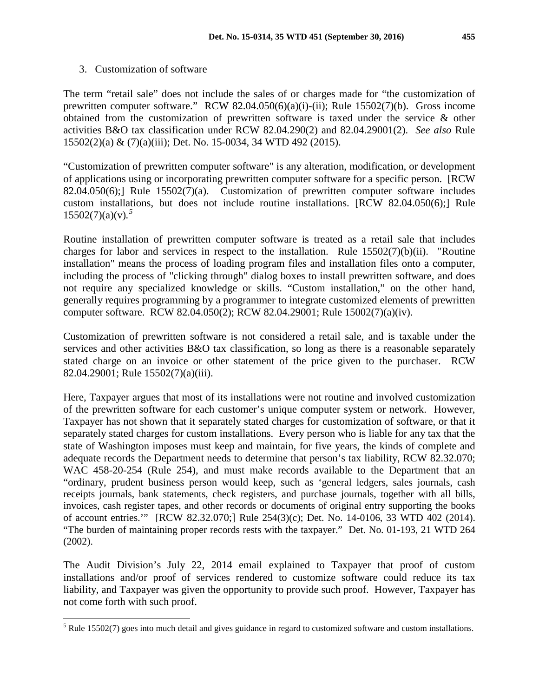### 3. Customization of software

The term "retail sale" does not include the sales of or charges made for "the customization of prewritten computer software." RCW 82.04.050(6)(a)(i)-(ii); Rule 15502(7)(b). Gross income obtained from the customization of prewritten software is taxed under the service & other activities B&O tax classification under RCW 82.04.290(2) and 82.04.29001(2). *See also* Rule 15502(2)(a) & (7)(a)(iii); Det. No. 15-0034, 34 WTD 492 (2015).

"Customization of prewritten computer software" is any alteration, modification, or development of applications using or incorporating prewritten computer software for a specific person. [RCW 82.04.050(6);] Rule 15502(7)(a). Customization of prewritten computer software includes custom installations, but does not include routine installations. [RCW 82.04.050(6);] Rule 15502(7)(a)(v)*. [5](#page-4-0)*

Routine installation of prewritten computer software is treated as a retail sale that includes charges for labor and services in respect to the installation. Rule 15502(7)(b)(ii). "Routine installation" means the process of loading program files and installation files onto a computer, including the process of "clicking through" dialog boxes to install prewritten software, and does not require any specialized knowledge or skills. "Custom installation," on the other hand, generally requires programming by a programmer to integrate customized elements of prewritten computer software. RCW 82.04.050(2); RCW 82.04.29001; Rule 15002(7)(a)(iv).

Customization of prewritten software is not considered a retail sale, and is taxable under the services and other activities B&O tax classification, so long as there is a reasonable separately stated charge on an invoice or other statement of the price given to the purchaser. RCW 82.04.29001; Rule 15502(7)(a)(iii).

Here, Taxpayer argues that most of its installations were not routine and involved customization of the prewritten software for each customer's unique computer system or network. However, Taxpayer has not shown that it separately stated charges for customization of software, or that it separately stated charges for custom installations. Every person who is liable for any tax that the state of Washington imposes must keep and maintain, for five years, the kinds of complete and adequate records the Department needs to determine that person's tax liability, RCW 82.32.070; WAC 458-20-254 (Rule 254), and must make records available to the Department that an "ordinary, prudent business person would keep, such as 'general ledgers, sales journals, cash receipts journals, bank statements, check registers, and purchase journals, together with all bills, invoices, cash register tapes, and other records or documents of original entry supporting the books of account entries.'" [RCW 82.32.070;] Rule 254(3)(c); Det. No. 14-0106, 33 WTD 402 (2014). "The burden of maintaining proper records rests with the taxpayer." Det. No. 01-193, 21 WTD 264 (2002).

The Audit Division's July 22, 2014 email explained to Taxpayer that proof of custom installations and/or proof of services rendered to customize software could reduce its tax liability, and Taxpayer was given the opportunity to provide such proof. However, Taxpayer has not come forth with such proof.

<span id="page-4-0"></span><sup>&</sup>lt;sup>5</sup> Rule 15502(7) goes into much detail and gives guidance in regard to customized software and custom installations.